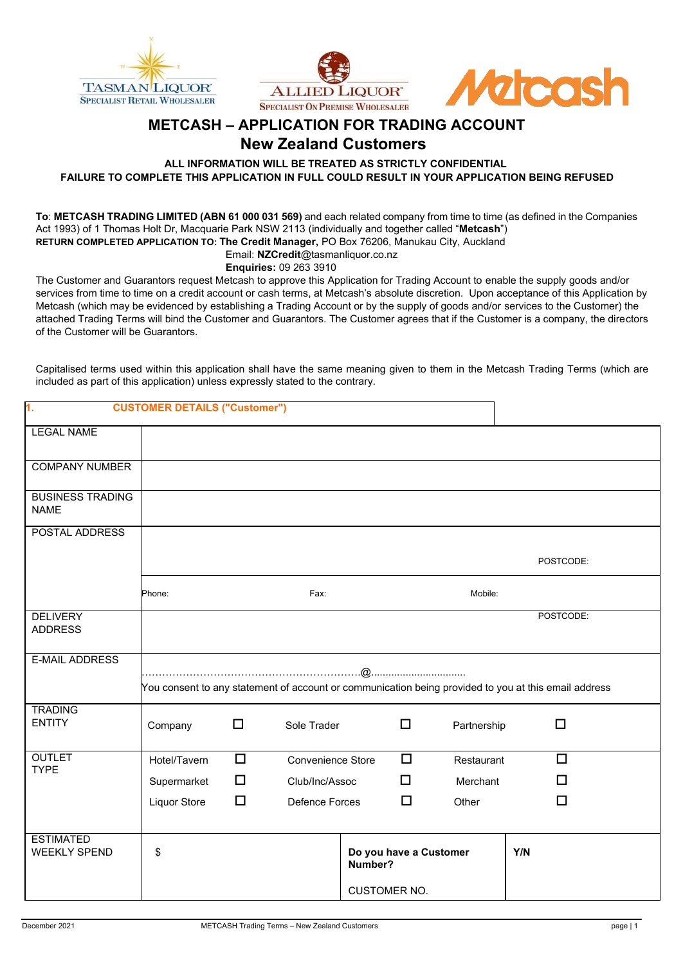





## **METCASH – APPLICATION FOR TRADING ACCOUNT**

### **New Zealand Customers**

**ALL INFORMATION WILL BE TREATED AS STRICTLY CONFIDENTIAL**

**FAILURE TO COMPLETE THIS APPLICATION IN FULL COULD RESULT IN YOUR APPLICATION BEING REFUSED**

**To**: **METCASH TRADING LIMITED (ABN 61 000 031 569)** and each related company from time to time (as defined in the Companies Act 1993) of 1 Thomas Holt Dr, Macquarie Park NSW 2113 (individually and together called "**Metcash**") **RETURN COMPLETED APPLICATION TO: The Credit Manager,** PO Box 76206, Manukau City, Auckland Email: **NZCredit**@tasmanliquor.co.nz

**Enquiries:** 09 263 3910

The Customer and Guarantors request Metcash to approve this Application for Trading Account to enable the supply goods and/or services from time to time on a credit account or cash terms, at Metcash's absolute discretion. Upon acceptance of this Application by Metcash (which may be evidenced by establishing a Trading Account or by the supply of goods and/or services to the Customer) the attached Trading Terms will bind the Customer and Guarantors. The Customer agrees that if the Customer is a company, the directors of the Customer will be Guarantors.

Capitalised terms used within this application shall have the same meaning given to them in the Metcash Trading Terms (which are included as part of this application) unless expressly stated to the contrary.

| 1.                                      | <b>CUSTOMER DETAILS ("Customer")</b>                                                                 |        |                          |         |                        |             |     |           |
|-----------------------------------------|------------------------------------------------------------------------------------------------------|--------|--------------------------|---------|------------------------|-------------|-----|-----------|
| <b>LEGAL NAME</b>                       |                                                                                                      |        |                          |         |                        |             |     |           |
| <b>COMPANY NUMBER</b>                   |                                                                                                      |        |                          |         |                        |             |     |           |
| <b>BUSINESS TRADING</b><br><b>NAME</b>  |                                                                                                      |        |                          |         |                        |             |     |           |
| POSTAL ADDRESS                          |                                                                                                      |        |                          |         |                        |             |     |           |
|                                         |                                                                                                      |        |                          |         |                        |             |     | POSTCODE: |
|                                         | Phone:                                                                                               |        | Fax:                     |         |                        | Mobile:     |     |           |
| <b>DELIVERY</b><br><b>ADDRESS</b>       |                                                                                                      |        |                          |         |                        |             |     | POSTCODE: |
| <b>E-MAIL ADDRESS</b>                   |                                                                                                      |        |                          |         |                        |             |     |           |
|                                         | You consent to any statement of account or communication being provided to you at this email address |        |                          |         |                        |             |     |           |
| <b>TRADING</b><br><b>ENTITY</b>         | Company                                                                                              | $\Box$ | Sole Trader              |         | $\Box$                 | Partnership |     | $\Box$    |
| <b>OUTLET</b><br><b>TYPE</b>            | Hotel/Tavern                                                                                         | $\Box$ | <b>Convenience Store</b> |         | $\Box$                 | Restaurant  |     | $\Box$    |
|                                         | Supermarket                                                                                          | $\Box$ | Club/Inc/Assoc           |         | ◻                      | Merchant    |     | п         |
|                                         | Liquor Store                                                                                         | $\Box$ | Defence Forces           |         | $\Box$                 | Other       |     | П         |
| <b>ESTIMATED</b><br><b>WEEKLY SPEND</b> | \$                                                                                                   |        |                          | Number? | Do you have a Customer |             | Y/N |           |
|                                         |                                                                                                      |        |                          |         | <b>CUSTOMER NO.</b>    |             |     |           |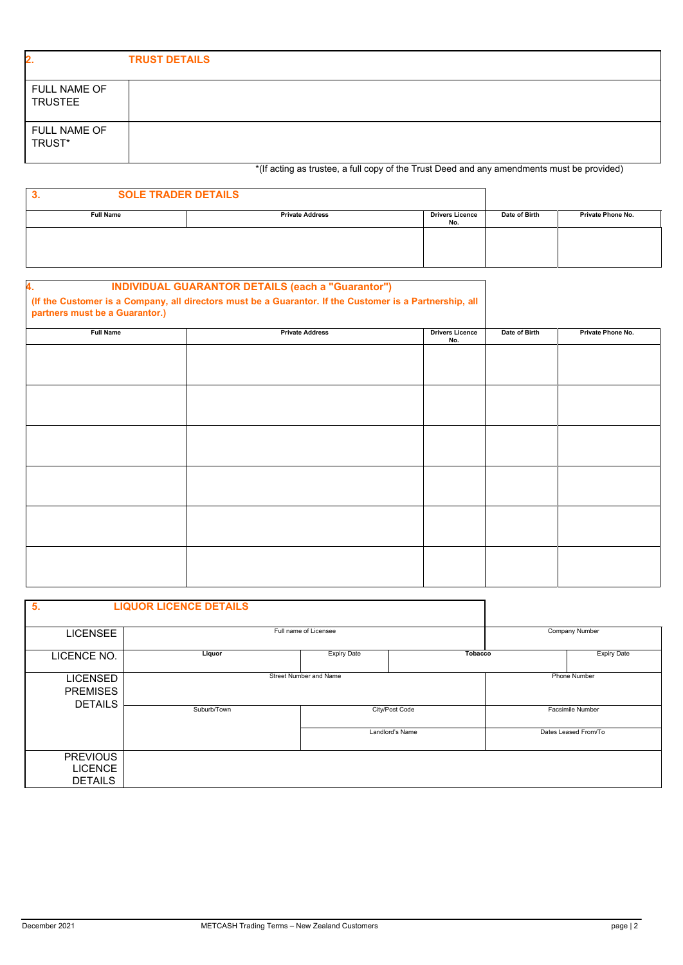| 2.                                    | <b>TRUST DETAILS</b>                                                                       |
|---------------------------------------|--------------------------------------------------------------------------------------------|
| <b>FULL NAME OF</b><br><b>TRUSTEE</b> |                                                                                            |
| <b>FULL NAME OF</b><br>TRUST*         |                                                                                            |
|                                       | *(If acting as trustee, a full copy of the Trust Deed and any amendments must be provided) |

|                  | AII                    |                        |               |                   |
|------------------|------------------------|------------------------|---------------|-------------------|
|                  |                        |                        |               |                   |
| <b>Full Name</b> | <b>Private Address</b> | <b>Drivers Licence</b> | Date of Birth | Private Phone No. |

| <b>SOLE TRADER DETAILS</b><br>. ت |                        |                               |               |                   |
|-----------------------------------|------------------------|-------------------------------|---------------|-------------------|
| <b>Full Name</b>                  | <b>Private Address</b> | <b>Drivers Licence</b><br>No. | Date of Birth | Private Phone No. |
|                                   |                        |                               |               |                   |
|                                   |                        |                               |               |                   |
|                                   |                        |                               |               |                   |

# **4. INDIVIDUAL GUARANTOR DETAILS (each a "Guarantor") (If the Customer is a Company, all directors must be a Guarantor. If the Customer is a Partnership, all partners must be a Guarantor.) Full Name Private Address** Drivers Licence<br>No. **Date of Birth Private Phone No.**

| 5.                                                   | <b>LIQUOR LICENCE DETAILS</b> |                        |                 |                         |                      |  |
|------------------------------------------------------|-------------------------------|------------------------|-----------------|-------------------------|----------------------|--|
| <b>LICENSEE</b>                                      |                               | Full name of Licensee  |                 | Company Number          |                      |  |
| LICENCE NO.                                          | Liquor                        | <b>Expiry Date</b>     | Tobacco         |                         | <b>Expiry Date</b>   |  |
| <b>LICENSED</b><br><b>PREMISES</b><br><b>DETAILS</b> |                               | Street Number and Name |                 |                         | <b>Phone Number</b>  |  |
|                                                      | Suburb/Town                   | City/Post Code         |                 | <b>Facsimile Number</b> |                      |  |
|                                                      |                               |                        | Landlord's Name |                         | Dates Leased From/To |  |
| <b>PREVIOUS</b><br><b>LICENCE</b><br><b>DETAILS</b>  |                               |                        |                 |                         |                      |  |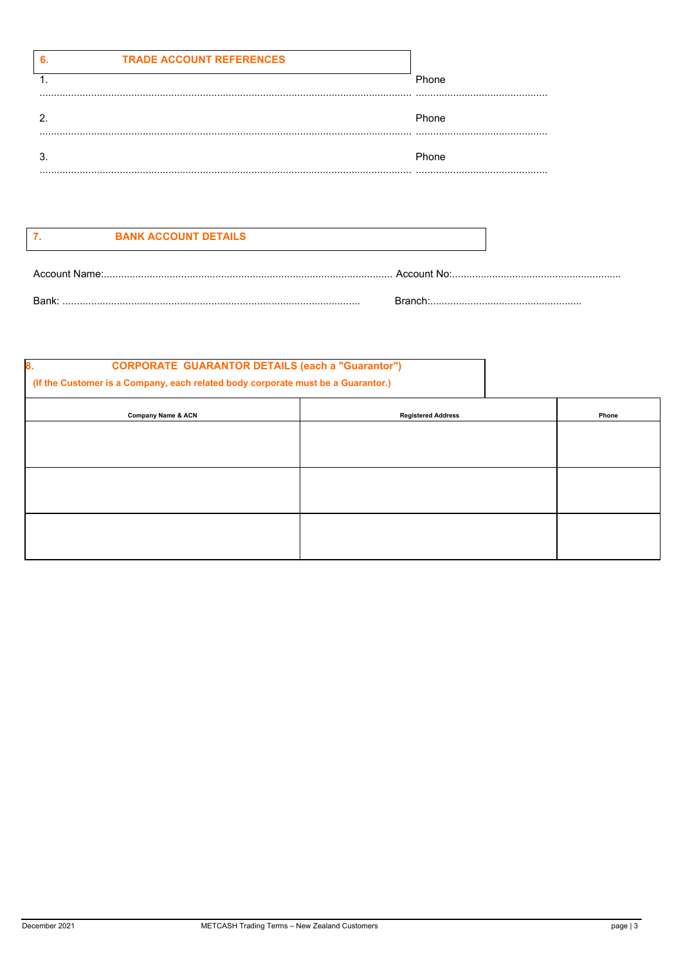|   | <b>TRADE ACCOUNT REFERENCES</b> |       |
|---|---------------------------------|-------|
|   |                                 | Phone |
|   |                                 |       |
| . |                                 | Phone |
|   |                                 | Phone |
|   |                                 |       |

| <b>BANK ACCOUNT DETAILS</b> |
|-----------------------------|
|                             |

| Account Name: | Account<br>N∩ |
|---------------|---------------|
| Bank:         | Bronc'        |

| 8.<br><b>CORPORATE GUARANTOR DETAILS (each a "Guarantor")</b><br>(If the Customer is a Company, each related body corporate must be a Guarantor.) |                           |       |
|---------------------------------------------------------------------------------------------------------------------------------------------------|---------------------------|-------|
| Company Name & ACN                                                                                                                                | <b>Registered Address</b> | Phone |
|                                                                                                                                                   |                           |       |
|                                                                                                                                                   |                           |       |
|                                                                                                                                                   |                           |       |
|                                                                                                                                                   |                           |       |
|                                                                                                                                                   |                           |       |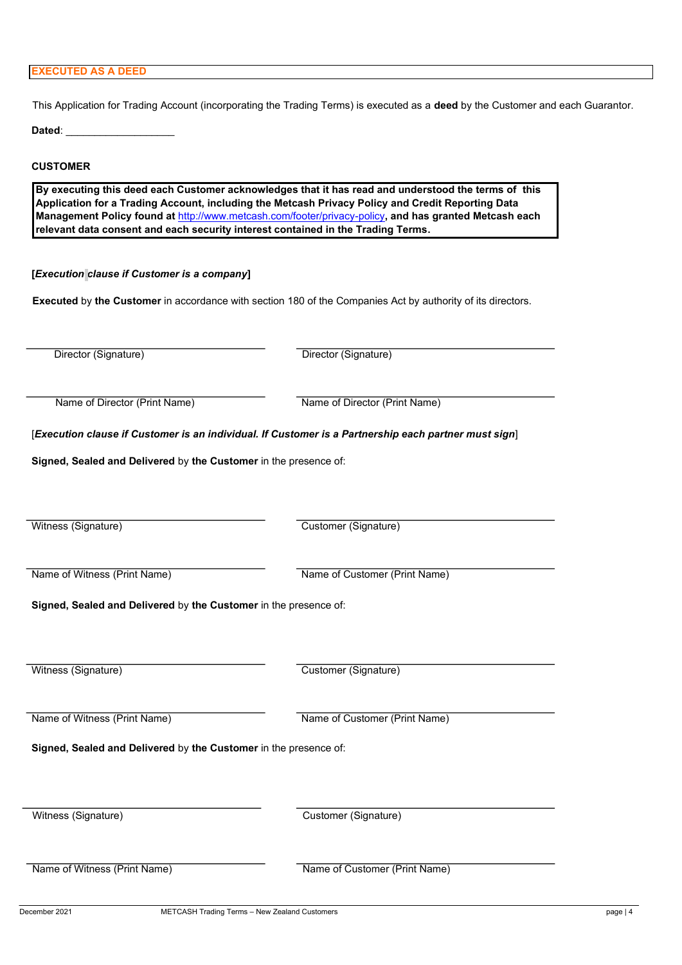#### **EXECUTED AS A DEED**

This Application for Trading Account (incorporating the Trading Terms) is executed as a **deed** by the Customer and each Guarantor.

Dated:

#### **CUSTOMER**

**By executing this deed each Customer acknowledges that it has read and understood the terms of this Application for a Trading Account, including the Metcash Privacy Policy and Credit Reporting Data Management Policy found at** http://www.metcash.com/footer/privacy-policy**, and has granted Metcash each relevant data consent and each security interest contained in the Trading Terms.**

#### **[***Execution clause if Customer is a company***]**

**Executed** by **the Customer** in accordance with section 180 of the Companies Act by authority of its directors.

Director (Signature) Director (Signature) Name of Director (Print Name) Name of Director (Print Name) [*Execution clause if Customer is an individual. If Customer is a Partnership each partner must sign*] **Signed, Sealed and Delivered** by **the Customer** in the presence of: Witness (Signature) Customer (Signature) Name of Witness (Print Name) Name of Customer (Print Name) **Signed, Sealed and Delivered** by **the Customer** in the presence of: Witness (Signature) **Customer (Signature)** Customer (Signature) Name of Witness (Print Name) Name of Customer (Print Name) **Signed, Sealed and Delivered** by **the Customer** in the presence of: Witness (Signature) Customer (Signature) Name of Witness (Print Name) Name of Customer (Print Name)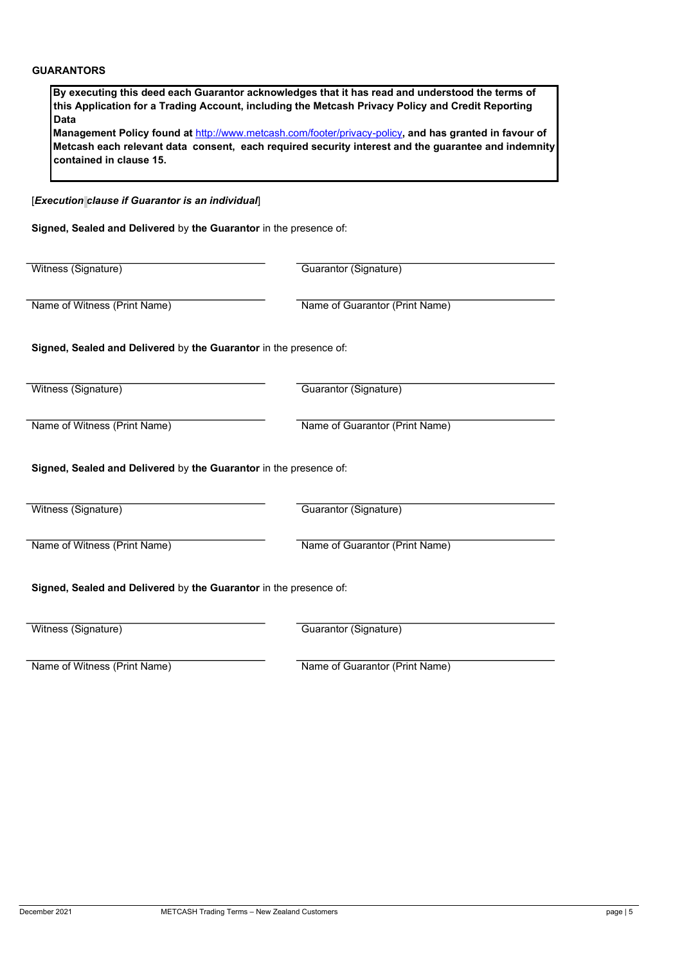| Data                                                              | By executing this deed each Guarantor acknowledges that it has read and understood the terms of<br>this Application for a Trading Account, including the Metcash Privacy Policy and Credit Reporting<br>Management Policy found at http://www.metcash.com/footer/privacy-policy, and has granted in favour of<br>Metcash each relevant data consent, each required security interest and the guarantee and indemnity |
|-------------------------------------------------------------------|----------------------------------------------------------------------------------------------------------------------------------------------------------------------------------------------------------------------------------------------------------------------------------------------------------------------------------------------------------------------------------------------------------------------|
| contained in clause 15.                                           |                                                                                                                                                                                                                                                                                                                                                                                                                      |
| [Execution clause if Guarantor is an individual]                  |                                                                                                                                                                                                                                                                                                                                                                                                                      |
| Signed, Sealed and Delivered by the Guarantor in the presence of: |                                                                                                                                                                                                                                                                                                                                                                                                                      |
|                                                                   |                                                                                                                                                                                                                                                                                                                                                                                                                      |
| Witness (Signature)                                               | Guarantor (Signature)                                                                                                                                                                                                                                                                                                                                                                                                |
| Name of Witness (Print Name)                                      | Name of Guarantor (Print Name)                                                                                                                                                                                                                                                                                                                                                                                       |
| Signed, Sealed and Delivered by the Guarantor in the presence of: |                                                                                                                                                                                                                                                                                                                                                                                                                      |
| Witness (Signature)                                               | Guarantor (Signature)                                                                                                                                                                                                                                                                                                                                                                                                |
| Name of Witness (Print Name)                                      | Name of Guarantor (Print Name)                                                                                                                                                                                                                                                                                                                                                                                       |
| Signed, Sealed and Delivered by the Guarantor in the presence of: |                                                                                                                                                                                                                                                                                                                                                                                                                      |
| Witness (Signature)                                               | Guarantor (Signature)                                                                                                                                                                                                                                                                                                                                                                                                |
| Name of Witness (Print Name)                                      | Name of Guarantor (Print Name)                                                                                                                                                                                                                                                                                                                                                                                       |
| Signed, Sealed and Delivered by the Guarantor in the presence of: |                                                                                                                                                                                                                                                                                                                                                                                                                      |
| Witness (Signature)                                               | Guarantor (Signature)                                                                                                                                                                                                                                                                                                                                                                                                |
|                                                                   |                                                                                                                                                                                                                                                                                                                                                                                                                      |

Name of Witness (Print Name) Name of Guarantor (Print Name)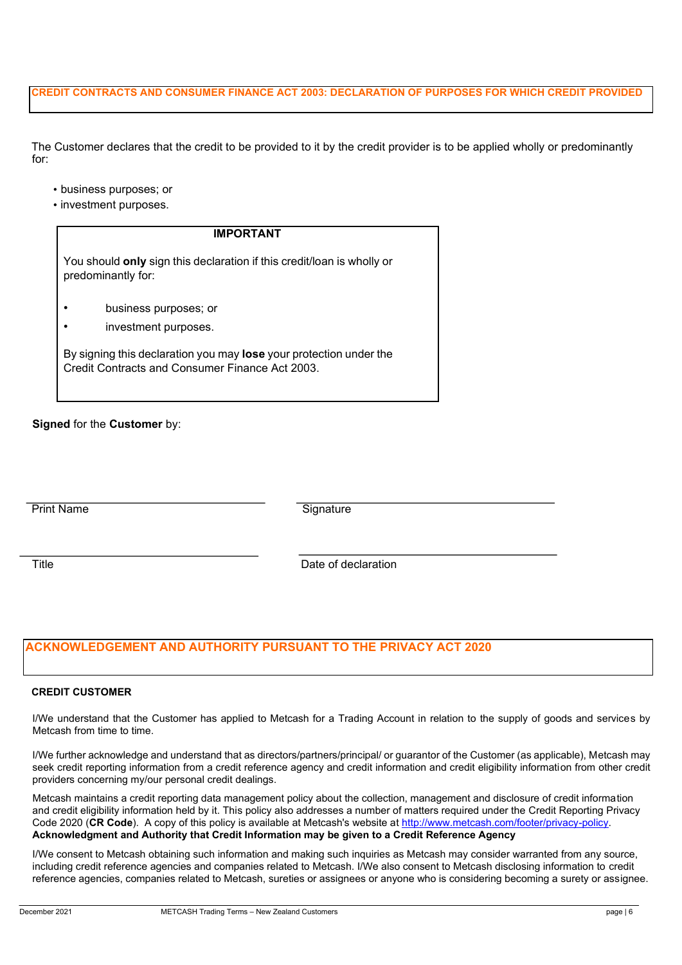#### **CREDIT CONTRACTS AND CONSUMER FINANCE ACT 2003: DECLARATION OF PURPOSES FOR WHICH CREDIT PROVIDED**

The Customer declares that the credit to be provided to it by the credit provider is to be applied wholly or predominantly for:

- business purposes; or
- investment purposes.

| <b>IMPORTANT</b>                                                                                                      |  |
|-----------------------------------------------------------------------------------------------------------------------|--|
| You should <b>only</b> sign this declaration if this credit/loan is wholly or<br>predominantly for:                   |  |
| business purposes; or<br>investment purposes.                                                                         |  |
| By signing this declaration you may lose your protection under the<br>Credit Contracts and Consumer Finance Act 2003. |  |

#### **Signed** for the **Customer** by:

Signature

Title **The Contract of the Date of declaration** 

#### **ACKNOWLEDGEMENT AND AUTHORITY PURSUANT TO THE PRIVACY ACT 2020**

#### **CREDIT CUSTOMER**

I/We understand that the Customer has applied to Metcash for a Trading Account in relation to the supply of goods and services by Metcash from time to time.

I/We further acknowledge and understand that as directors/partners/principal/ or guarantor of the Customer (as applicable), Metcash may seek credit reporting information from a credit reference agency and credit information and credit eligibility information from other credit providers concerning my/our personal credit dealings.

Metcash maintains a credit reporting data management policy about the collection, management and disclosure of credit information and credit eligibility information held by it. This policy also addresses a number of matters required under the Credit Reporting Privacy Code 2020 (**CR Code**). A copy of this policy is available at Metcash's website at http://www.metcash.com/footer/privacy-policy. **Acknowledgment and Authority that Credit Information may be given to a Credit Reference Agency**

I/We consent to Metcash obtaining such information and making such inquiries as Metcash may consider warranted from any source, including credit reference agencies and companies related to Metcash. I/We also consent to Metcash disclosing information to credit reference agencies, companies related to Metcash, sureties or assignees or anyone who is considering becoming a surety or assignee.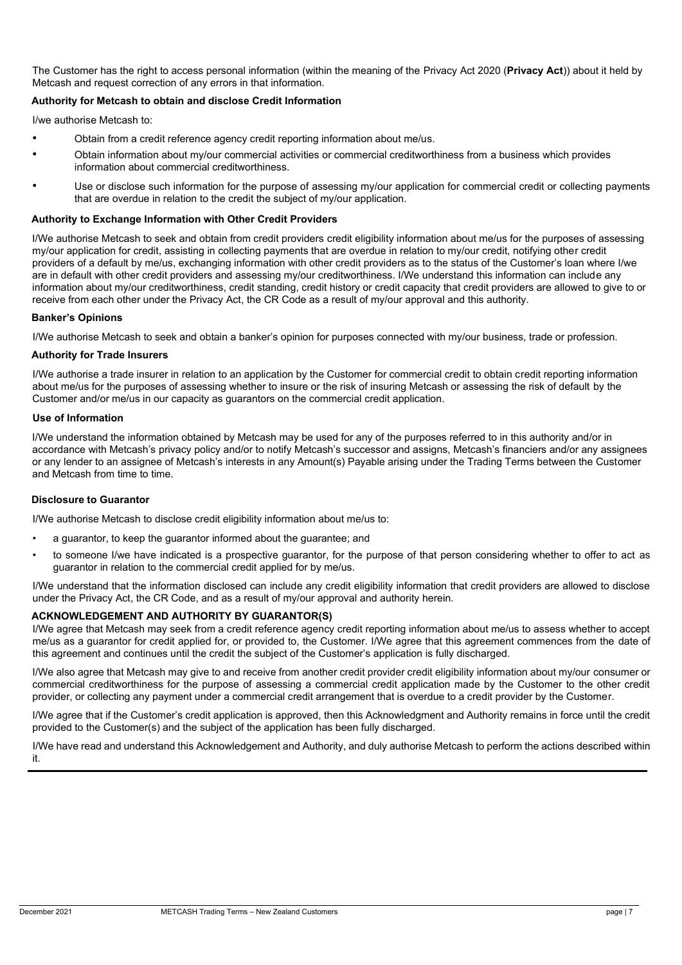The Customer has the right to access personal information (within the meaning of the Privacy Act 2020 (**Privacy Act**)) about it held by Metcash and request correction of any errors in that information.

#### **Authority for Metcash to obtain and disclose Credit Information**

I/we authorise Metcash to:

- Obtain from a credit reference agency credit reporting information about me/us.
- Obtain information about my/our commercial activities or commercial creditworthiness from a business which provides information about commercial creditworthiness.
- Use or disclose such information for the purpose of assessing my/our application for commercial credit or collecting payments that are overdue in relation to the credit the subject of my/our application.

#### **Authority to Exchange Information with Other Credit Providers**

I/We authorise Metcash to seek and obtain from credit providers credit eligibility information about me/us for the purposes of assessing my/our application for credit, assisting in collecting payments that are overdue in relation to my/our credit, notifying other credit providers of a default by me/us, exchanging information with other credit providers as to the status of the Customer's loan where I/we are in default with other credit providers and assessing my/our creditworthiness. I/We understand this information can include any information about my/our creditworthiness, credit standing, credit history or credit capacity that credit providers are allowed to give to or receive from each other under the Privacy Act, the CR Code as a result of my/our approval and this authority.

#### **Banker's Opinions**

I/We authorise Metcash to seek and obtain a banker's opinion for purposes connected with my/our business, trade or profession.

#### **Authority for Trade Insurers**

I/We authorise a trade insurer in relation to an application by the Customer for commercial credit to obtain credit reporting information about me/us for the purposes of assessing whether to insure or the risk of insuring Metcash or assessing the risk of default by the Customer and/or me/us in our capacity as guarantors on the commercial credit application.

#### **Use of Information**

I/We understand the information obtained by Metcash may be used for any of the purposes referred to in this authority and/or in accordance with Metcash's privacy policy and/or to notify Metcash's successor and assigns, Metcash's financiers and/or any assignees or any lender to an assignee of Metcash's interests in any Amount(s) Payable arising under the Trading Terms between the Customer and Metcash from time to time.

#### **Disclosure to Guarantor**

I/We authorise Metcash to disclose credit eligibility information about me/us to:

- a guarantor, to keep the guarantor informed about the guarantee; and
- to someone I/we have indicated is a prospective guarantor, for the purpose of that person considering whether to offer to act as guarantor in relation to the commercial credit applied for by me/us.

I/We understand that the information disclosed can include any credit eligibility information that credit providers are allowed to disclose under the Privacy Act, the CR Code, and as a result of my/our approval and authority herein.

#### **ACKNOWLEDGEMENT AND AUTHORITY BY GUARANTOR(S)**

I/We agree that Metcash may seek from a credit reference agency credit reporting information about me/us to assess whether to accept me/us as a guarantor for credit applied for, or provided to, the Customer. I/We agree that this agreement commences from the date of this agreement and continues until the credit the subject of the Customer's application is fully discharged.

I/We also agree that Metcash may give to and receive from another credit provider credit eligibility information about my/our consumer or commercial creditworthiness for the purpose of assessing a commercial credit application made by the Customer to the other credit provider, or collecting any payment under a commercial credit arrangement that is overdue to a credit provider by the Customer.

I/We agree that if the Customer's credit application is approved, then this Acknowledgment and Authority remains in force until the credit provided to the Customer(s) and the subject of the application has been fully discharged.

I/We have read and understand this Acknowledgement and Authority, and duly authorise Metcash to perform the actions described within it.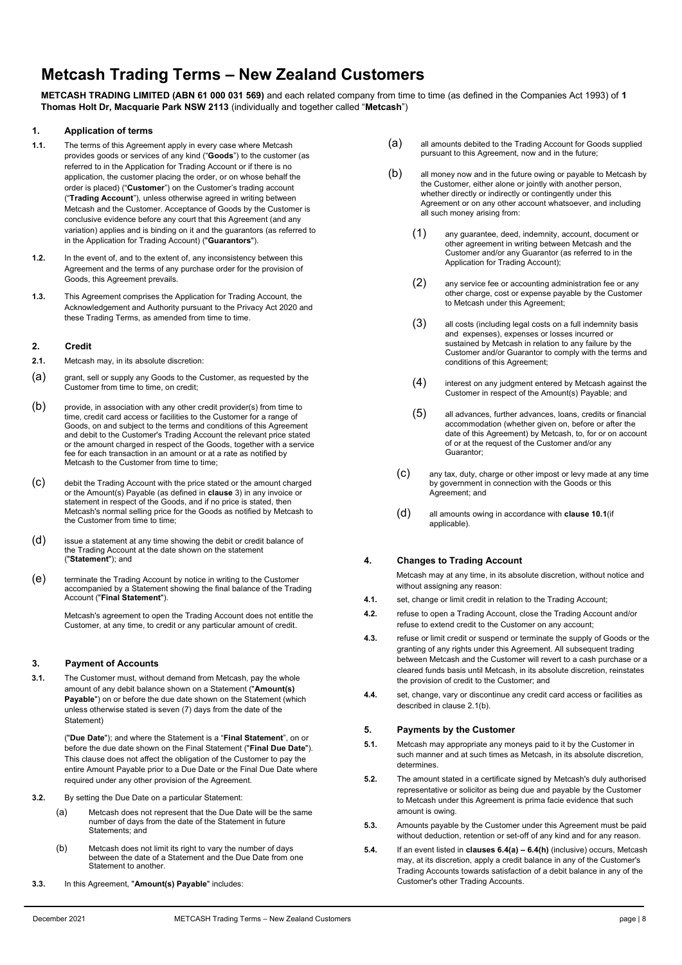## **Metcash Trading Terms – New Zealand Customers**

**METCASH TRADING LIMITED (ABN 61 000 031 569)** and each related company from time to time (as defined in the Companies Act 1993) of **1 Thomas Holt Dr, Macquarie Park NSW 2113** (individually and together called "**Metcash**")

#### **1. Application of terms**

- **1.1.** The terms of this Agreement apply in every case where Metcash provides goods or services of any kind ("**Goods**") to the customer (as referred to in the Application for Trading Account or if there is no application, the customer placing the order, or on whose behalf the order is placed) ("**Customer**") on the Customer's trading account ("**Trading Account**"), unless otherwise agreed in writing between Metcash and the Customer. Acceptance of Goods by the Customer is conclusive evidence before any court that this Agreement (and any variation) applies and is binding on it and the guarantors (as referred to in the Application for Trading Account) ("**Guarantors**").
- **1.2.** In the event of, and to the extent of, any inconsistency between this Agreement and the terms of any purchase order for the provision of Goods, this Agreement prevails.
- **1.3.** This Agreement comprises the Application for Trading Account, the Acknowledgement and Authority pursuant to the Privacy Act 2020 and these Trading Terms, as amended from time to time.

#### **2. Credit**

- **2.1.** Metcash may, in its absolute discretion:
- (a) grant, sell or supply any Goods to the Customer, as requested by the Customer from time to time, on credit;
- (b) provide, in association with any other credit provider(s) from time to time, credit card access or facilities to the Customer for a range of Goods, on and subject to the terms and conditions of this Agreement and debit to the Customer's Trading Account the relevant price stated or the amount charged in respect of the Goods, together with a service fee for each transaction in an amount or at a rate as notified by Metcash to the Customer from time to time;
- (c) debit the Trading Account with the price stated or the amount charged or the Amount(s) Payable (as defined in **clause** 3) in any invoice or statement in respect of the Goods, and if no price is stated, then Metcash's normal selling price for the Goods as notified by Metcash to the Customer from time to time;
- (d) issue a statement at any time showing the debit or credit balance of the Trading Account at the date shown on the statement ("**Statement**"); and
- (e) terminate the Trading Account by notice in writing to the Customer accompanied by a Statement showing the final balance of the Trading Account ("**Final Statement**").

Metcash's agreement to open the Trading Account does not entitle the Customer, at any time, to credit or any particular amount of credit.

#### **3. Payment of Accounts**

**3.1.** The Customer must, without demand from Metcash, pay the whole amount of any debit balance shown on a Statement ("**Amount(s) Payable**") on or before the due date shown on the Statement (which unless otherwise stated is seven (7) days from the date of the Statement)

> ("**Due Date**"); and where the Statement is a "**Final Statement**", on or before the due date shown on the Final Statement ("**Final Due Date**"). This clause does not affect the obligation of the Customer to pay the entire Amount Payable prior to a Due Date or the Final Due Date where required under any other provision of the Agreement.

- **3.2.** By setting the Due Date on a particular Statement:
	- (a) Metcash does not represent that the Due Date will be the same number of days from the date of the Statement in future Statements; and
	- (b) Metcash does not limit its right to vary the number of days between the date of a Statement and the Due Date from one Statement to another.
- **3.3.** In this Agreement, "**Amount(s) Payable**" includes:
- (a) all amounts debited to the Trading Account for Goods supplied pursuant to this Agreement, now and in the future;
- (b) all money now and in the future owing or payable to Metcash by the Customer, either alone or jointly with another person, whether directly or indirectly or contingently under this Agreement or on any other account whatsoever, and including all such money arising from:
	- (1) any guarantee, deed, indemnity, account, document or other agreement in writing between Metcash and the Customer and/or any Guarantor (as referred to in the Application for Trading Account);
	- (2) any service fee or accounting administration fee or any other charge, cost or expense payable by the Customer to Metcash under this Agreement;
	- (3) all costs (including legal costs on a full indemnity basis and expenses), expenses or losses incurred or sustained by Metcash in relation to any failure by the Customer and/or Guarantor to comply with the terms and conditions of this Agreement;
	- (4) interest on any judgment entered by Metcash against the Customer in respect of the Amount(s) Payable; and
	- (5) all advances, further advances, loans, credits or financial accommodation (whether given on, before or after the date of this Agreement) by Metcash, to, for or on account of or at the request of the Customer and/or any Guarantor;
	- (c) any tax, duty, charge or other impost or levy made at any time by government in connection with the Goods or this Agreement; and
	- (d) all amounts owing in accordance with **clause 10.1**(if applicable).

#### **4. Changes to Trading Account**

Metcash may at any time, in its absolute discretion, without notice and without assigning any reason:

- **4.1.** set, change or limit credit in relation to the Trading Account:
- **4.2.** refuse to open a Trading Account, close the Trading Account and/or refuse to extend credit to the Customer on any account;
- **4.3.** refuse or limit credit or suspend or terminate the supply of Goods or the granting of any rights under this Agreement. All subsequent trading between Metcash and the Customer will revert to a cash purchase or a cleared funds basis until Metcash, in its absolute discretion, reinstates the provision of credit to the Customer; and
- **4.4.** set, change, vary or discontinue any credit card access or facilities as described in clause 2.1(b).

#### **5. Payments by the Customer**

- **5.1.** Metcash may appropriate any moneys paid to it by the Customer in such manner and at such times as Metcash, in its absolute discretion, determines.
- **5.2.** The amount stated in a certificate signed by Metcash's duly authorised representative or solicitor as being due and payable by the Customer to Metcash under this Agreement is prima facie evidence that such amount is owing.
- **5.3.** Amounts payable by the Customer under this Agreement must be paid without deduction, retention or set-off of any kind and for any reason.
- **5.4.** If an event listed in **clauses 6.4(a) – 6.4(h)** (inclusive) occurs, Metcash may, at its discretion, apply a credit balance in any of the Customer's Trading Accounts towards satisfaction of a debit balance in any of the Customer's other Trading Accounts.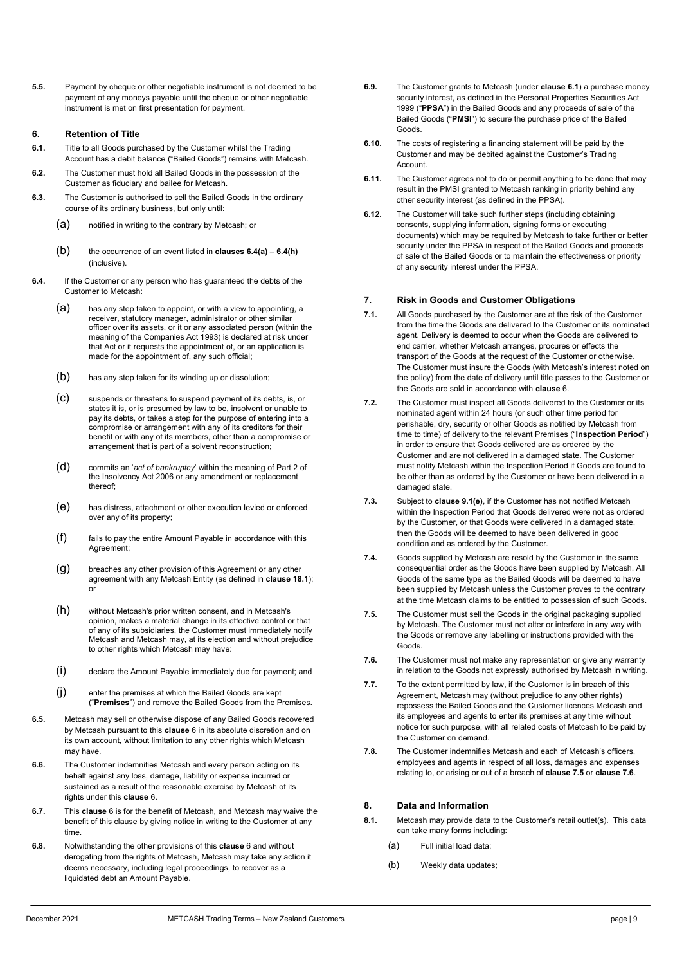**5.5.** Payment by cheque or other negotiable instrument is not deemed to be payment of any moneys payable until the cheque or other negotiable instrument is met on first presentation for payment.

#### **6. Retention of Title**

- **6.1.** Title to all Goods purchased by the Customer whilst the Trading Account has a debit balance ("Bailed Goods") remains with Metcash.
- **6.2.** The Customer must hold all Bailed Goods in the possession of the Customer as fiduciary and bailee for Metcash.
- **6.3.** The Customer is authorised to sell the Bailed Goods in the ordinary course of its ordinary business, but only until:
	- (a) notified in writing to the contrary by Metcash; or
	- (b) the occurrence of an event listed in **clauses 6.4(a) 6.4(h)**  (inclusive).
- **6.4.** If the Customer or any person who has guaranteed the debts of the Customer to Metcash:
	- (a) has any step taken to appoint, or with a view to appointing, a receiver, statutory manager, administrator or other similar officer over its assets, or it or any associated person (within the meaning of the Companies Act 1993) is declared at risk under that Act or it requests the appointment of, or an application is made for the appointment of, any such official;
	- (b) has any step taken for its winding up or dissolution;
	- (c) suspends or threatens to suspend payment of its debts, is, or states it is, or is presumed by law to be, insolvent or unable to pay its debts, or takes a step for the purpose of entering into a compromise or arrangement with any of its creditors for their benefit or with any of its members, other than a compromise or arrangement that is part of a solvent reconstruction;
	- (d) commits an '*act of bankruptcy*' within the meaning of Part 2 of the Insolvency Act 2006 or any amendment or replacement thereof;
	- (e) has distress, attachment or other execution levied or enforced over any of its property;
	- $(f)$  fails to pay the entire Amount Payable in accordance with this Agreement;
	- (g) breaches any other provision of this Agreement or any other agreement with any Metcash Entity (as defined in **clause 18.1**); or
	- (h) without Metcash's prior written consent, and in Metcash's opinion, makes a material change in its effective control or that of any of its subsidiaries, the Customer must immediately notify Metcash and Metcash may, at its election and without prejudice to other rights which Metcash may have:
	- (i) declare the Amount Payable immediately due for payment; and
	- (j) enter the premises at which the Bailed Goods are kept ("**Premises**") and remove the Bailed Goods from the Premises.
- **6.5.** Metcash may sell or otherwise dispose of any Bailed Goods recovered by Metcash pursuant to this **clause** 6 in its absolute discretion and on its own account, without limitation to any other rights which Metcash may have.
- **6.6.** The Customer indemnifies Metcash and every person acting on its behalf against any loss, damage, liability or expense incurred or sustained as a result of the reasonable exercise by Metcash of its rights under this **clause** 6.
- **6.7.** This **clause** 6 is for the benefit of Metcash, and Metcash may waive the benefit of this clause by giving notice in writing to the Customer at any time.
- **6.8.** Notwithstanding the other provisions of this **clause** 6 and without derogating from the rights of Metcash, Metcash may take any action it deems necessary, including legal proceedings, to recover as a liquidated debt an Amount Payable.
- **6.9.** The Customer grants to Metcash (under **clause 6.1**) a purchase money security interest, as defined in the Personal Properties Securities Act 1999 ("**PPSA**") in the Bailed Goods and any proceeds of sale of the Bailed Goods ("**PMSI**") to secure the purchase price of the Bailed Goods.
- **6.10.** The costs of registering a financing statement will be paid by the Customer and may be debited against the Customer's Trading **Account**
- **6.11.** The Customer agrees not to do or permit anything to be done that may result in the PMSI granted to Metcash ranking in priority behind any other security interest (as defined in the PPSA).
- **6.12.** The Customer will take such further steps (including obtaining consents, supplying information, signing forms or executing documents) which may be required by Metcash to take further or better security under the PPSA in respect of the Bailed Goods and proceeds of sale of the Bailed Goods or to maintain the effectiveness or priority of any security interest under the PPSA.

#### **7. Risk in Goods and Customer Obligations**

- **7.1.** All Goods purchased by the Customer are at the risk of the Customer from the time the Goods are delivered to the Customer or its nominated agent. Delivery is deemed to occur when the Goods are delivered to end carrier, whether Metcash arranges, procures or effects the transport of the Goods at the request of the Customer or otherwise. The Customer must insure the Goods (with Metcash's interest noted on the policy) from the date of delivery until title passes to the Customer or the Goods are sold in accordance with **clause** 6.
- **7.2.** The Customer must inspect all Goods delivered to the Customer or its nominated agent within 24 hours (or such other time period for perishable, dry, security or other Goods as notified by Metcash from time to time) of delivery to the relevant Premises ("**Inspection Period**") in order to ensure that Goods delivered are as ordered by the Customer and are not delivered in a damaged state. The Customer must notify Metcash within the Inspection Period if Goods are found to be other than as ordered by the Customer or have been delivered in a damaged state.
- **7.3.** Subject to **clause 9.1(e)**, if the Customer has not notified Metcash within the Inspection Period that Goods delivered were not as ordered by the Customer, or that Goods were delivered in a damaged state, then the Goods will be deemed to have been delivered in good condition and as ordered by the Customer.
- **7.4.** Goods supplied by Metcash are resold by the Customer in the same consequential order as the Goods have been supplied by Metcash. All Goods of the same type as the Bailed Goods will be deemed to have been supplied by Metcash unless the Customer proves to the contrary at the time Metcash claims to be entitled to possession of such Goods.
- **7.5.** The Customer must sell the Goods in the original packaging supplied by Metcash. The Customer must not alter or interfere in any way with the Goods or remove any labelling or instructions provided with the Goods.
- **7.6.** The Customer must not make any representation or give any warranty in relation to the Goods not expressly authorised by Metcash in writing.
- **7.7.** To the extent permitted by law, if the Customer is in breach of this Agreement, Metcash may (without prejudice to any other rights) repossess the Bailed Goods and the Customer licences Metcash and its employees and agents to enter its premises at any time without notice for such purpose, with all related costs of Metcash to be paid by the Customer on demand.
- **7.8.** The Customer indemnifies Metcash and each of Metcash's officers, employees and agents in respect of all loss, damages and expenses relating to, or arising or out of a breach of **clause 7.5** or **clause 7.6**.

#### **8. Data and Information**

- **8.1.** Metcash may provide data to the Customer's retail outlet(s). This data can take many forms including:
	- (a) Full initial load data;
	- (b) Weekly data updates;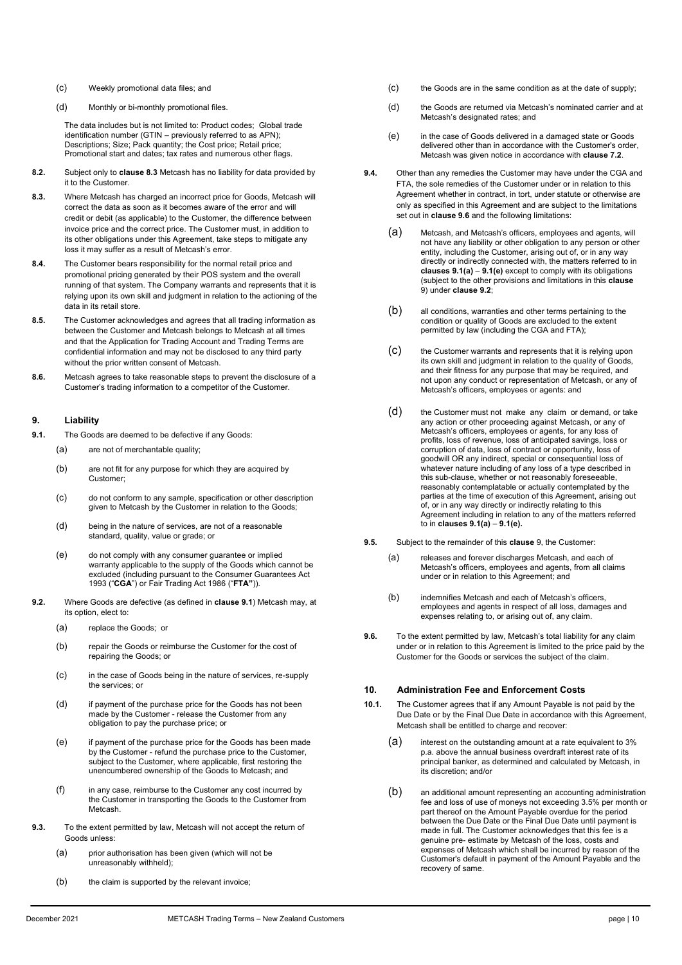- (c) Weekly promotional data files; and
- (d) Monthly or bi-monthly promotional files.

The data includes but is not limited to: Product codes; Global trade identification number (GTIN – previously referred to as APN); Descriptions; Size; Pack quantity; the Cost price; Retail price; Promotional start and dates; tax rates and numerous other flags.

- **8.2.** Subject only to **clause 8.3** Metcash has no liability for data provided by it to the Customer.
- **8.3.** Where Metcash has charged an incorrect price for Goods, Metcash will correct the data as soon as it becomes aware of the error and will credit or debit (as applicable) to the Customer, the difference between invoice price and the correct price. The Customer must, in addition to its other obligations under this Agreement, take steps to mitigate any loss it may suffer as a result of Metcash's error.
- **8.4.** The Customer bears responsibility for the normal retail price and promotional pricing generated by their POS system and the overall running of that system. The Company warrants and represents that it is relying upon its own skill and judgment in relation to the actioning of the data in its retail store.
- **8.5.** The Customer acknowledges and agrees that all trading information as between the Customer and Metcash belongs to Metcash at all times and that the Application for Trading Account and Trading Terms are confidential information and may not be disclosed to any third party without the prior written consent of Metcash.
- **8.6.** Metcash agrees to take reasonable steps to prevent the disclosure of a Customer's trading information to a competitor of the Customer.

#### **9. Liability**

- **9.1.** The Goods are deemed to be defective if any Goods:
	- (a) are not of merchantable quality;
	- (b) are not fit for any purpose for which they are acquired by Customer;
	- (c) do not conform to any sample, specification or other description given to Metcash by the Customer in relation to the Goods;
	- (d) being in the nature of services, are not of a reasonable standard, quality, value or grade; or
	- (e) do not comply with any consumer guarantee or implied warranty applicable to the supply of the Goods which cannot be excluded (including pursuant to the Consumer Guarantees Act 1993 ("**CGA**") or Fair Trading Act 1986 ("**FTA"**)).
- **9.2.** Where Goods are defective (as defined in **clause 9.1**) Metcash may, at its option, elect to:
	- (a) replace the Goods; or
	- (b) repair the Goods or reimburse the Customer for the cost of repairing the Goods; or
	- (c) in the case of Goods being in the nature of services, re-supply the services; or
	- (d) if payment of the purchase price for the Goods has not been made by the Customer - release the Customer from any obligation to pay the purchase price; or
	- (e) if payment of the purchase price for the Goods has been made by the Customer - refund the purchase price to the Customer, subject to the Customer, where applicable, first restoring the unencumbered ownership of the Goods to Metcash; and
	- (f) in any case, reimburse to the Customer any cost incurred by the Customer in transporting the Goods to the Customer from Metcash.
- **9.3.** To the extent permitted by law, Metcash will not accept the return of Goods unless:
	- (a) prior authorisation has been given (which will not be unreasonably withheld);
	- (b) the claim is supported by the relevant invoice;
- (c) the Goods are in the same condition as at the date of supply;
- (d) the Goods are returned via Metcash's nominated carrier and at Metcash's designated rates; and
- (e) in the case of Goods delivered in a damaged state or Goods delivered other than in accordance with the Customer's order, Metcash was given notice in accordance with **clause 7.2**.
- **9.4.** Other than any remedies the Customer may have under the CGA and FTA, the sole remedies of the Customer under or in relation to this Agreement whether in contract, in tort, under statute or otherwise are only as specified in this Agreement and are subject to the limitations set out in **clause 9.6** and the following limitations:
	- (a) Metcash, and Metcash's officers, employees and agents, will not have any liability or other obligation to any person or other entity, including the Customer, arising out of, or in any way directly or indirectly connected with, the matters referred to in **clauses 9.1(a)** – **9.1(e)** except to comply with its obligations (subject to the other provisions and limitations in this **clause**  9) under **clause 9.2**;
	- (b) all conditions, warranties and other terms pertaining to the condition or quality of Goods are excluded to the extent permitted by law (including the CGA and FTA);
	- (c) the Customer warrants and represents that it is relying upon its own skill and judgment in relation to the quality of Goods, and their fitness for any purpose that may be required, and not upon any conduct or representation of Metcash, or any of Metcash's officers, employees or agents: and
	- (d) the Customer must not make any claim or demand, or take any action or other proceeding against Metcash, or any of Metcash's officers, employees or agents, for any loss of profits, loss of revenue, loss of anticipated savings, loss or corruption of data, loss of contract or opportunity, loss of goodwill OR any indirect, special or consequential loss of whatever nature including of any loss of a type described in this sub-clause, whether or not reasonably foreseeable, reasonably contemplatable or actually contemplated by the parties at the time of execution of this Agreement, arising out of, or in any way directly or indirectly relating to this Agreement including in relation to any of the matters referred to in **clauses 9.1(a)** – **9.1(e).**
- **9.5.** Subject to the remainder of this **clause** 9, the Customer:
	- (a) releases and forever discharges Metcash, and each of Metcash's officers, employees and agents, from all claims under or in relation to this Agreement; and
	- (b) indemnifies Metcash and each of Metcash's officers, employees and agents in respect of all loss, damages and expenses relating to, or arising out of, any claim.
- **9.6.** To the extent permitted by law, Metcash's total liability for any claim under or in relation to this Agreement is limited to the price paid by the Customer for the Goods or services the subject of the claim.

#### **10. Administration Fee and Enforcement Costs**

- **10.1.** The Customer agrees that if any Amount Payable is not paid by the Due Date or by the Final Due Date in accordance with this Agreement, Metcash shall be entitled to charge and recover:
	- (a) interest on the outstanding amount at a rate equivalent to 3% p.a. above the annual business overdraft interest rate of its principal banker, as determined and calculated by Metcash, in its discretion; and/or
	- (b) an additional amount representing an accounting administration fee and loss of use of moneys not exceeding 3.5% per month or part thereof on the Amount Payable overdue for the period between the Due Date or the Final Due Date until payment is made in full. The Customer acknowledges that this fee is a genuine pre- estimate by Metcash of the loss, costs and expenses of Metcash which shall be incurred by reason of the Customer's default in payment of the Amount Payable and the recovery of same.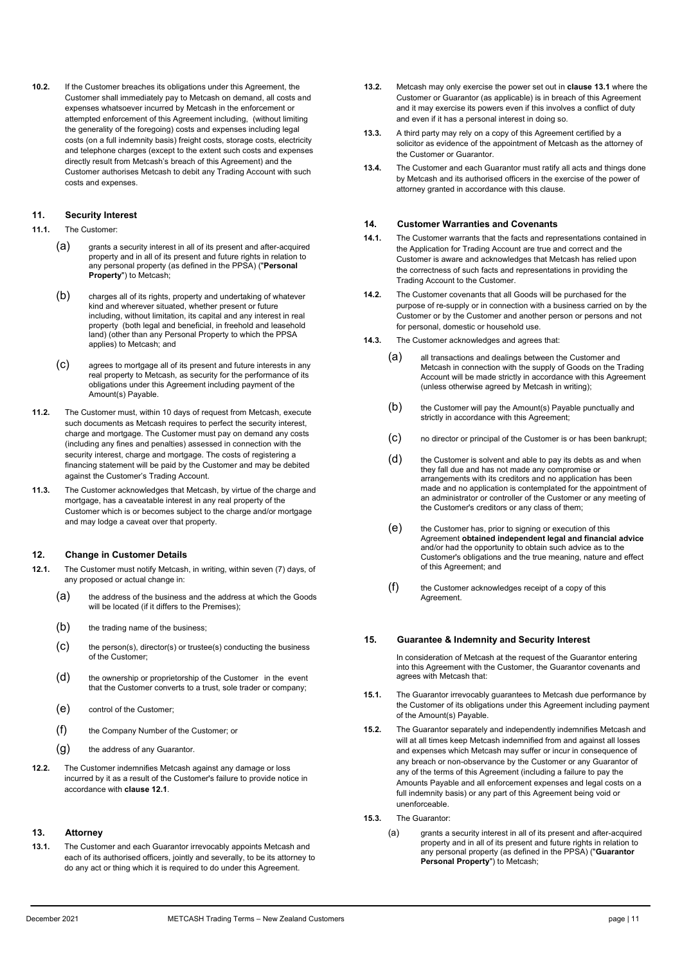**10.2.** If the Customer breaches its obligations under this Agreement, the Customer shall immediately pay to Metcash on demand, all costs and expenses whatsoever incurred by Metcash in the enforcement or attempted enforcement of this Agreement including, (without limiting the generality of the foregoing) costs and expenses including legal costs (on a full indemnity basis) freight costs, storage costs, electricity and telephone charges (except to the extent such costs and expenses directly result from Metcash's breach of this Agreement) and the Customer authorises Metcash to debit any Trading Account with such costs and expenses.

#### **11. Security Interest**

- **11.1.** The Customer:
	- (a) grants a security interest in all of its present and after-acquired property and in all of its present and future rights in relation to any personal property (as defined in the PPSA) ("**Personal Property**") to Metcash;
	- (b) charges all of its rights, property and undertaking of whatever kind and wherever situated, whether present or future including, without limitation, its capital and any interest in real property (both legal and beneficial, in freehold and leasehold land) (other than any Personal Property to which the PPSA applies) to Metcash; and
	- (c) agrees to mortgage all of its present and future interests in any real property to Metcash, as security for the performance of its obligations under this Agreement including payment of the Amount(s) Payable.
- **11.2.** The Customer must, within 10 days of request from Metcash, execute such documents as Metcash requires to perfect the security interest, charge and mortgage. The Customer must pay on demand any costs (including any fines and penalties) assessed in connection with the security interest, charge and mortgage. The costs of registering a financing statement will be paid by the Customer and may be debited against the Customer's Trading Account.
- **11.3.** The Customer acknowledges that Metcash, by virtue of the charge and mortgage, has a caveatable interest in any real property of the Customer which is or becomes subject to the charge and/or mortgage and may lodge a caveat over that property.

#### **12. Change in Customer Details**

- **12.1.** The Customer must notify Metcash, in writing, within seven (7) days, of any proposed or actual change in:
	- (a) the address of the business and the address at which the Goods will be located (if it differs to the Premises);
	- $(b)$  the trading name of the business;
	- $(c)$  the person(s), director(s) or trustee(s) conducting the business of the Customer;
	- (d) the ownership or proprietorship of the Customer in the event that the Customer converts to a trust, sole trader or company;
	- (e) control of the Customer;
	- (f) the Company Number of the Customer; or
	- $(q)$  the address of any Guarantor.
- **12.2.** The Customer indemnifies Metcash against any damage or loss incurred by it as a result of the Customer's failure to provide notice in accordance with **clause 12.1**.

#### **13. Attorney**

**13.1.** The Customer and each Guarantor irrevocably appoints Metcash and each of its authorised officers, jointly and severally, to be its attorney to do any act or thing which it is required to do under this Agreement.

- **13.2.** Metcash may only exercise the power set out in **clause 13.1** where the Customer or Guarantor (as applicable) is in breach of this Agreement and it may exercise its powers even if this involves a conflict of duty and even if it has a personal interest in doing so.
- **13.3.** A third party may rely on a copy of this Agreement certified by a solicitor as evidence of the appointment of Metcash as the attorney of the Customer or Guarantor.
- **13.4.** The Customer and each Guarantor must ratify all acts and things done by Metcash and its authorised officers in the exercise of the power of attorney granted in accordance with this clause.

#### **14. Customer Warranties and Covenants**

- **14.1.** The Customer warrants that the facts and representations contained in the Application for Trading Account are true and correct and the Customer is aware and acknowledges that Metcash has relied upon the correctness of such facts and representations in providing the Trading Account to the Customer.
- **14.2.** The Customer covenants that all Goods will be purchased for the purpose of re-supply or in connection with a business carried on by the Customer or by the Customer and another person or persons and not for personal, domestic or household use.
- **14.3.** The Customer acknowledges and agrees that:
	- (a) all transactions and dealings between the Customer and Metcash in connection with the supply of Goods on the Trading Account will be made strictly in accordance with this Agreement (unless otherwise agreed by Metcash in writing);
	- (b) the Customer will pay the Amount(s) Payable punctually and strictly in accordance with this Agreement;
	- (c) no director or principal of the Customer is or has been bankrupt;
	- (d) the Customer is solvent and able to pay its debts as and when they fall due and has not made any compromise or arrangements with its creditors and no application has been made and no application is contemplated for the appointment of an administrator or controller of the Customer or any meeting of the Customer's creditors or any class of them;
	- (e) the Customer has, prior to signing or execution of this Agreement **obtained independent legal and financial advice**  and/or had the opportunity to obtain such advice as to the Customer's obligations and the true meaning, nature and effect of this Agreement; and
	- (f) the Customer acknowledges receipt of a copy of this Agreement.

#### **15. Guarantee & Indemnity and Security Interest**

In consideration of Metcash at the request of the Guarantor entering into this Agreement with the Customer, the Guarantor covenants and agrees with Metcash that:

- **15.1.** The Guarantor irrevocably guarantees to Metcash due performance by the Customer of its obligations under this Agreement including payment of the Amount(s) Payable.
- **15.2.** The Guarantor separately and independently indemnifies Metcash and will at all times keep Metcash indemnified from and against all losses and expenses which Metcash may suffer or incur in consequence of any breach or non-observance by the Customer or any Guarantor of any of the terms of this Agreement (including a failure to pay the Amounts Payable and all enforcement expenses and legal costs on a full indemnity basis) or any part of this Agreement being void or unenforceable.
- **15.3.** The Guarantor:
	- (a) grants a security interest in all of its present and after-acquired property and in all of its present and future rights in relation to any personal property (as defined in the PPSA) ("**Guarantor Personal Property**") to Metcash;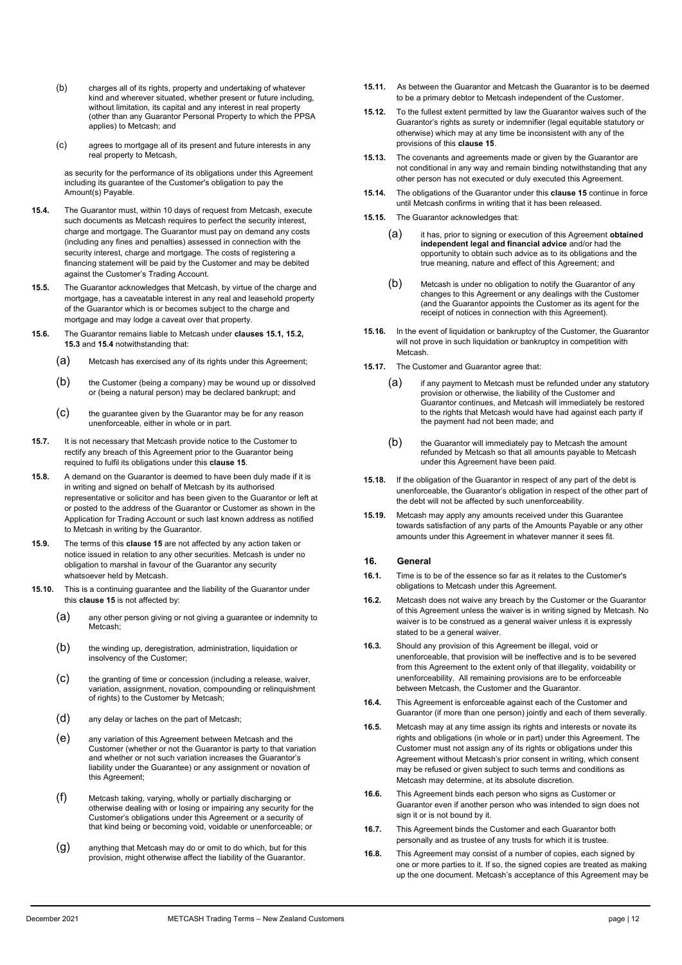- (b) charges all of its rights, property and undertaking of whatever kind and wherever situated, whether present or future including, without limitation, its capital and any interest in real property (other than any Guarantor Personal Property to which the PPSA applies) to Metcash; and
- (c) agrees to mortgage all of its present and future interests in any real property to Metcash,

as security for the performance of its obligations under this Agreement including its guarantee of the Customer's obligation to pay the Amount(s) Payable.

- **15.4.** The Guarantor must, within 10 days of request from Metcash, execute such documents as Metcash requires to perfect the security interest, charge and mortgage. The Guarantor must pay on demand any costs (including any fines and penalties) assessed in connection with the security interest, charge and mortgage. The costs of registering a financing statement will be paid by the Customer and may be debited against the Customer's Trading Account.
- **15.5.** The Guarantor acknowledges that Metcash, by virtue of the charge and mortgage, has a caveatable interest in any real and leasehold property of the Guarantor which is or becomes subject to the charge and mortgage and may lodge a caveat over that property.
- **15.6.** The Guarantor remains liable to Metcash under **clauses 15.1, 15.2, 15.3** and **15.4** notwithstanding that:
	- (a) Metcash has exercised any of its rights under this Agreement;
	- (b) the Customer (being a company) may be wound up or dissolved or (being a natural person) may be declared bankrupt; and
	- (c) the guarantee given by the Guarantor may be for any reason unenforceable, either in whole or in part.
- **15.7.** It is not necessary that Metcash provide notice to the Customer to rectify any breach of this Agreement prior to the Guarantor being required to fulfil its obligations under this **clause 15**.
- **15.8.** A demand on the Guarantor is deemed to have been duly made if it is in writing and signed on behalf of Metcash by its authorised representative or solicitor and has been given to the Guarantor or left at or posted to the address of the Guarantor or Customer as shown in the Application for Trading Account or such last known address as notified to Metcash in writing by the Guarantor.
- **15.9.** The terms of this **clause 15** are not affected by any action taken or notice issued in relation to any other securities. Metcash is under no obligation to marshal in favour of the Guarantor any security whatsoever held by Metcash.
- **15.10.** This is a continuing guarantee and the liability of the Guarantor under this **clause 15** is not affected by:
	- (a) any other person giving or not giving a guarantee or indemnity to Metcash;
	- (b) the winding up, deregistration, administration, liquidation or insolvency of the Customer;
	- (c) the granting of time or concession (including a release, waiver, variation, assignment, novation, compounding or relinquishment of rights) to the Customer by Metcash;
	- (d) any delay or laches on the part of Metcash;
	- (e) any variation of this Agreement between Metcash and the Customer (whether or not the Guarantor is party to that variation and whether or not such variation increases the Guarantor's liability under the Guarantee) or any assignment or novation of this Agreement;
	- (f) Metcash taking, varying, wholly or partially discharging or otherwise dealing with or losing or impairing any security for the Customer's obligations under this Agreement or a security of that kind being or becoming void, voidable or unenforceable; or
	- (g) anything that Metcash may do or omit to do which, but for this provision, might otherwise affect the liability of the Guarantor.
- **15.11.** As between the Guarantor and Metcash the Guarantor is to be deemed to be a primary debtor to Metcash independent of the Customer.
- **15.12.** To the fullest extent permitted by law the Guarantor waives such of the Guarantor's rights as surety or indemnifier (legal equitable statutory or otherwise) which may at any time be inconsistent with any of the provisions of this **clause 15**.
- **15.13.** The covenants and agreements made or given by the Guarantor are not conditional in any way and remain binding notwithstanding that any other person has not executed or duly executed this Agreement.
- **15.14.** The obligations of the Guarantor under this **clause 15** continue in force until Metcash confirms in writing that it has been released.
- **15.15.** The Guarantor acknowledges that:
	- (a) it has, prior to signing or execution of this Agreement **obtained independent legal and financial advice** and/or had the opportunity to obtain such advice as to its obligations and the true meaning, nature and effect of this Agreement; and
	- (b) Metcash is under no obligation to notify the Guarantor of any changes to this Agreement or any dealings with the Customer (and the Guarantor appoints the Customer as its agent for the receipt of notices in connection with this Agreement).
- **15.16.** In the event of liquidation or bankruptcy of the Customer, the Guarantor will not prove in such liquidation or bankruptcy in competition with Metcash.
- **15.17.** The Customer and Guarantor agree that:
	- (a) if any payment to Metcash must be refunded under any statutory provision or otherwise, the liability of the Customer and Guarantor continues, and Metcash will immediately be restored to the rights that Metcash would have had against each party if the payment had not been made; and
	- (b) the Guarantor will immediately pay to Metcash the amount refunded by Metcash so that all amounts payable to Metcash under this Agreement have been paid.
- **15.18.** If the obligation of the Guarantor in respect of any part of the debt is unenforceable, the Guarantor's obligation in respect of the other part of the debt will not be affected by such unenforceability.
- **15.19.** Metcash may apply any amounts received under this Guarantee towards satisfaction of any parts of the Amounts Payable or any other amounts under this Agreement in whatever manner it sees fit.

#### **16. General**

- **16.1.** Time is to be of the essence so far as it relates to the Customer's obligations to Metcash under this Agreement.
- **16.2.** Metcash does not waive any breach by the Customer or the Guarantor of this Agreement unless the waiver is in writing signed by Metcash. No waiver is to be construed as a general waiver unless it is expressly stated to be a general waiver.
- **16.3.** Should any provision of this Agreement be illegal, void or unenforceable, that provision will be ineffective and is to be severed from this Agreement to the extent only of that illegality, voidability or unenforceability. All remaining provisions are to be enforceable between Metcash, the Customer and the Guarantor.
- **16.4.** This Agreement is enforceable against each of the Customer and Guarantor (if more than one person) jointly and each of them severally.
- **16.5.** Metcash may at any time assign its rights and interests or novate its rights and obligations (in whole or in part) under this Agreement. The Customer must not assign any of its rights or obligations under this Agreement without Metcash's prior consent in writing, which consent may be refused or given subject to such terms and conditions as Metcash may determine, at its absolute discretion.
- **16.6.** This Agreement binds each person who signs as Customer or Guarantor even if another person who was intended to sign does not sign it or is not bound by it.
- **16.7.** This Agreement binds the Customer and each Guarantor both personally and as trustee of any trusts for which it is trustee.
- **16.8.** This Agreement may consist of a number of copies, each signed by one or more parties to it. If so, the signed copies are treated as making up the one document. Metcash's acceptance of this Agreement may be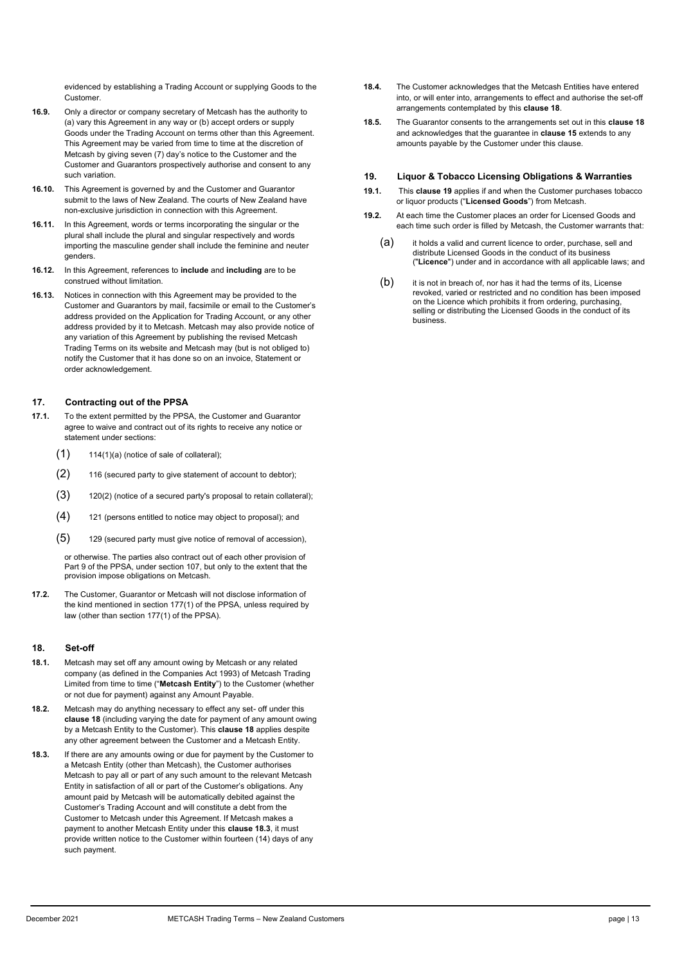evidenced by establishing a Trading Account or supplying Goods to the Customer.

- **16.9.** Only a director or company secretary of Metcash has the authority to (a) vary this Agreement in any way or (b) accept orders or supply Goods under the Trading Account on terms other than this Agreement. This Agreement may be varied from time to time at the discretion of Metcash by giving seven (7) day's notice to the Customer and the Customer and Guarantors prospectively authorise and consent to any such variation.
- **16.10.** This Agreement is governed by and the Customer and Guarantor submit to the laws of New Zealand. The courts of New Zealand have non-exclusive jurisdiction in connection with this Agreement.
- **16.11.** In this Agreement, words or terms incorporating the singular or the plural shall include the plural and singular respectively and words importing the masculine gender shall include the feminine and neuter genders.
- **16.12.** In this Agreement, references to **include** and **including** are to be construed without limitation.
- **16.13.** Notices in connection with this Agreement may be provided to the Customer and Guarantors by mail, facsimile or email to the Customer's address provided on the Application for Trading Account, or any other address provided by it to Metcash. Metcash may also provide notice of any variation of this Agreement by publishing the revised Metcash Trading Terms on its website and Metcash may (but is not obliged to) notify the Customer that it has done so on an invoice, Statement or order acknowledgement.

#### **17. Contracting out of the PPSA**

- **17.1.** To the extent permitted by the PPSA, the Customer and Guarantor agree to waive and contract out of its rights to receive any notice or statement under sections:
	- (1) 114(1)(a) (notice of sale of collateral);
	- (2) 116 (secured party to give statement of account to debtor);
	- $(3)$  120(2) (notice of a secured party's proposal to retain collateral);
	- (4) 121 (persons entitled to notice may object to proposal); and
	- (5) 129 (secured party must give notice of removal of accession),

or otherwise. The parties also contract out of each other provision of Part 9 of the PPSA, under section 107, but only to the extent that the provision impose obligations on Metcash.

**17.2.** The Customer, Guarantor or Metcash will not disclose information of the kind mentioned in section 177(1) of the PPSA, unless required by law (other than section 177(1) of the PPSA).

#### **18. Set-off**

- **18.1.** Metcash may set off any amount owing by Metcash or any related company (as defined in the Companies Act 1993) of Metcash Trading Limited from time to time ("**Metcash Entity**") to the Customer (whether or not due for payment) against any Amount Payable.
- **18.2.** Metcash may do anything necessary to effect any set- off under this **clause 18** (including varying the date for payment of any amount owing by a Metcash Entity to the Customer). This **clause 18** applies despite any other agreement between the Customer and a Metcash Entity.
- **18.3.** If there are any amounts owing or due for payment by the Customer to a Metcash Entity (other than Metcash), the Customer authorises Metcash to pay all or part of any such amount to the relevant Metcash Entity in satisfaction of all or part of the Customer's obligations. Any amount paid by Metcash will be automatically debited against the Customer's Trading Account and will constitute a debt from the Customer to Metcash under this Agreement. If Metcash makes a payment to another Metcash Entity under this **clause 18.3**, it must provide written notice to the Customer within fourteen (14) days of any such payment.
- **18.4.** The Customer acknowledges that the Metcash Entities have entered into, or will enter into, arrangements to effect and authorise the set-off arrangements contemplated by this **clause 18**.
- **18.5.** The Guarantor consents to the arrangements set out in this **clause 18** and acknowledges that the guarantee in **clause 15** extends to any amounts payable by the Customer under this clause.

#### **19. Liquor & Tobacco Licensing Obligations & Warranties**

- **19.1.** This **clause 19** applies if and when the Customer purchases tobacco or liquor products ("**Licensed Goods**") from Metcash.
- **19.2.** At each time the Customer places an order for Licensed Goods and each time such order is filled by Metcash, the Customer warrants that:
	- (a) it holds a valid and current licence to order, purchase, sell and distribute Licensed Goods in the conduct of its business ("**Licence**") under and in accordance with all applicable laws; and
	- $(b)$  it is not in breach of, nor has it had the terms of its, License revoked, varied or restricted and no condition has been imposed on the Licence which prohibits it from ordering, purchasing, selling or distributing the Licensed Goods in the conduct of its business.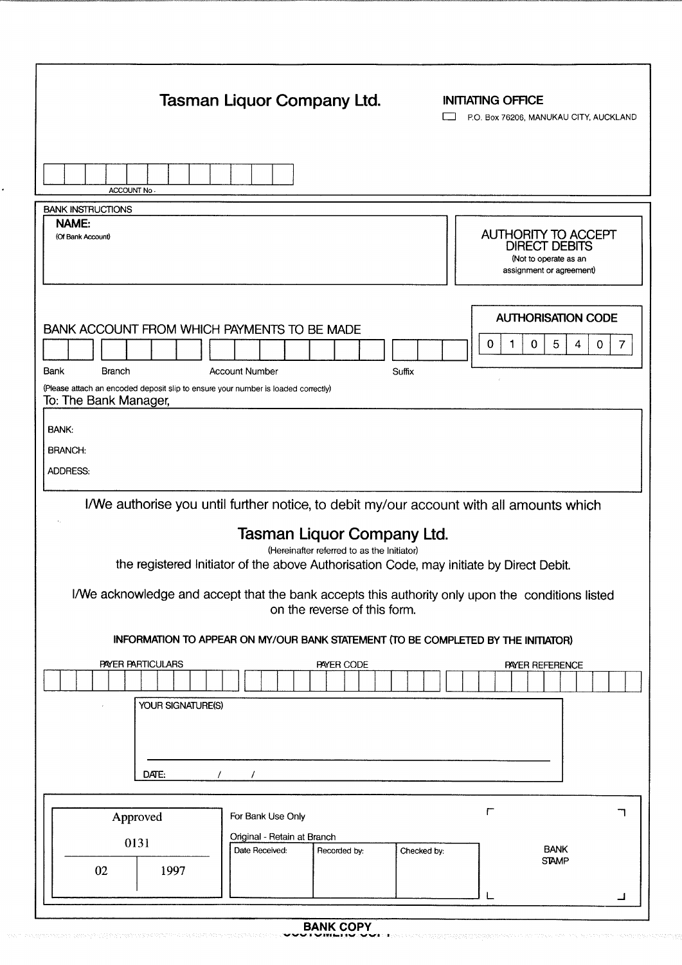|                                                                                                                                                                                                                                                                                                                                                                                                                                                                                                | Tasman Liquor Company Ltd.                                                         | <b>INITIATING OFFICE</b><br>P.O. Box 76206, MANUKAU CITY, AUCKLAND                               |
|------------------------------------------------------------------------------------------------------------------------------------------------------------------------------------------------------------------------------------------------------------------------------------------------------------------------------------------------------------------------------------------------------------------------------------------------------------------------------------------------|------------------------------------------------------------------------------------|--------------------------------------------------------------------------------------------------|
| ACCOUNT No.                                                                                                                                                                                                                                                                                                                                                                                                                                                                                    |                                                                                    |                                                                                                  |
| <b>BANK INSTRUCTIONS</b><br>NAME:<br>(Of Bank Account)                                                                                                                                                                                                                                                                                                                                                                                                                                         |                                                                                    | <b>AUTHORITY TO ACCEPT</b><br>DIRECT DEBITS<br>(Not to operate as an<br>assignment or agreement) |
| BANK ACCOUNT FROM WHICH PAYMENTS TO BE MADE<br>Bank<br><b>Branch</b><br>(Please attach an encoded deposit slip to ensure your number is loaded correctly)<br>To: The Bank Manager,                                                                                                                                                                                                                                                                                                             | <b>Account Number</b><br>Suffix                                                    | <b>AUTHORISATION CODE</b><br>5<br>1<br>$\mathbf 0$<br>4<br>0<br>0<br>7                           |
| BANK:<br><b>BRANCH:</b><br><b>ADDRESS:</b>                                                                                                                                                                                                                                                                                                                                                                                                                                                     |                                                                                    |                                                                                                  |
| I/We authorise you until further notice, to debit my/our account with all amounts which<br><b>Tasman Liquor Company Ltd.</b><br>(Hereinafter referred to as the Initiator)<br>the registered Initiator of the above Authorisation Code, may initiate by Direct Debit.<br>I/We acknowledge and accept that the bank accepts this authority only upon the conditions listed<br>on the reverse of this form.<br>INFORMATION TO APPEAR ON MY/OUR BANK STATEMENT (TO BE COMPLETED BY THE INITIATOR) |                                                                                    |                                                                                                  |
| PAYER PARTICULARS<br>YOUR SIGNATURE(S)<br>DATE:<br>$\prime$                                                                                                                                                                                                                                                                                                                                                                                                                                    | PAYER CODE                                                                         | PAYER REFERENCE                                                                                  |
| Approved<br>0131<br>02<br>1997                                                                                                                                                                                                                                                                                                                                                                                                                                                                 | For Bank Use Only<br>Original - Retain at Branch<br>Date Received:<br>Recorded by: | $\Gamma$<br>ᄀ<br><b>BANK</b><br>Checked by:<br><b>STAMP</b>                                      |